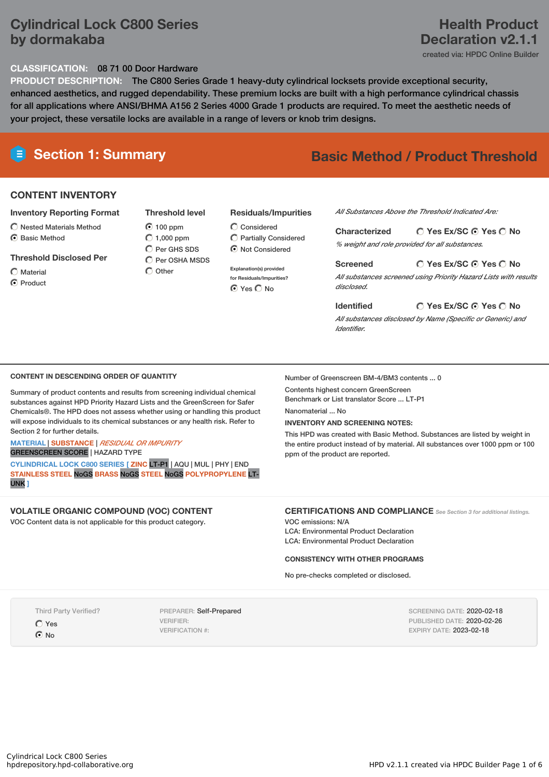## **Cylindrical Lock C800 Series by dormakaba**

### **Health Product Declaration v2.1.1**

created via: HPDC Online Builder

#### **CLASSIFICATION:** 08 71 00 Door Hardware

**PRODUCT DESCRIPTION:** The C800 Series Grade 1 heavy-duty cylindrical locksets provide exceptional security, enhanced aesthetics, and rugged dependability. These premium locks are built with a high performance cylindrical chassis for all applications where ANSI/BHMA A156 2 Series 4000 Grade 1 products are required. To meet the aesthetic needs of your project, these versatile locks are available in a range of levers or knob trim designs.

# **E** Section 1: Summary **Basic Method /** Product Threshold

### **CONTENT INVENTORY**

#### **Inventory Reporting Format**

 $\widehat{\bigcap}$  Nested Materials Method C Basic Method

#### **Threshold Disclosed Per**

#### $\bigcap$  Material

**⊙** Product

#### 100 ppm  $O$  1,000 ppm  $\bigcap$  Per GHS SDS

**Threshold level**

Per OSHA MSDS  $\bigcap$  Other

#### **Residuals/Impurities**

Considered Partially Considered Not Considered

**Explanation(s) provided for Residuals/Impurities?** ⊙ Yes O No

#### *All Substances Above the Threshold Indicated Are:*

**Yes Ex/SC Yes No Characterized** *% weight and role provided for all substances.*

#### **Screened**

*All substances screened using Priority Hazard Lists with results disclosed.*

#### **Yes Ex/SC Yes No**

**Yes Ex/SC Yes No**

*All substances disclosed by Name (Specific or Generic) and Identifier.*

#### **CONTENT IN DESCENDING ORDER OF QUANTITY**

Summary of product contents and results from screening individual chemical substances against HPD Priority Hazard Lists and the GreenScreen for Safer Chemicals®. The HPD does not assess whether using or handling this product will expose individuals to its chemical substances or any health risk. Refer to Section 2 for further details.

#### **MATERIAL** | **SUBSTANCE** | *RESIDUAL OR IMPURITY* GREENSCREEN SCORE | HAZARD TYPE

**CYLINDRICAL LOCK C800 SERIES [ ZINC** LT-P1 | AQU | MUL | PHY | END **STAINLESS STEEL** NoGS **BRASS** NoGS **STEEL** NoGS **POLYPROPYLENE** LT-UNK **]**

#### **VOLATILE ORGANIC COMPOUND (VOC) CONTENT**

VOC Content data is not applicable for this product category.

#### Number of Greenscreen BM-4/BM3 contents ... 0 Contents highest concern GreenScreen

Benchmark or List translator Score ... LT-P1

**Identified**

Nanomaterial ... No

#### **INVENTORY AND SCREENING NOTES:**

This HPD was created with Basic Method. Substances are listed by weight in the entire product instead of by material. All substances over 1000 ppm or 100 ppm of the product are reported.

#### **CERTIFICATIONS AND COMPLIANCE** *See Section <sup>3</sup> for additional listings.*

VOC emissions: N/A LCA: Environmental Product Declaration LCA: Environmental Product Declaration

#### **CONSISTENCY WITH OTHER PROGRAMS**

No pre-checks completed or disclosed.

Third Party Verified?

Yes  $\odot$  No

PREPARER: Self-Prepared VERIFIER: VERIFICATION #:

SCREENING DATE: 2020-02-18 PUBLISHED DATE: 2020-02-26 EXPIRY DATE: 2023-02-18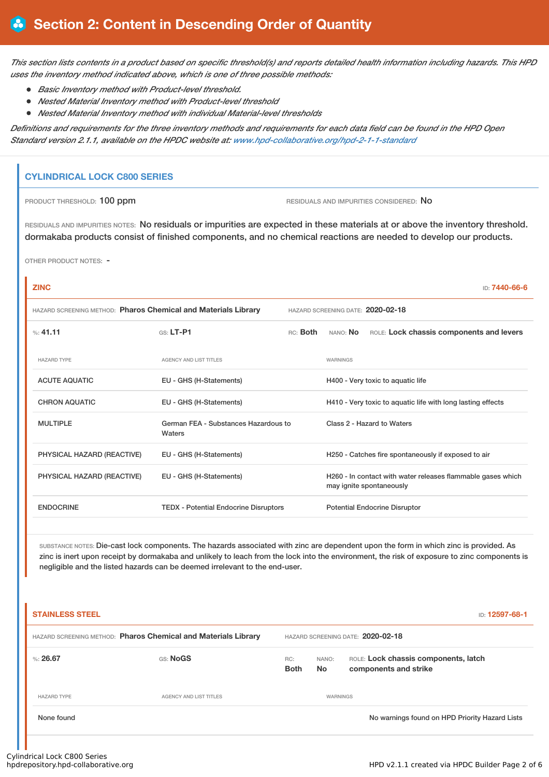This section lists contents in a product based on specific threshold(s) and reports detailed health information including hazards. This HPD *uses the inventory method indicated above, which is one of three possible methods:*

- *Basic Inventory method with Product-level threshold.*
- *Nested Material Inventory method with Product-level threshold*
- *Nested Material Inventory method with individual Material-level thresholds*

Definitions and requirements for the three inventory methods and requirements for each data field can be found in the HPD Open *Standard version 2.1.1, available on the HPDC website at: [www.hpd-collaborative.org/hpd-2-1-1-standard](https://www.hpd-collaborative.org/hpd-2-1-1-standard)*

#### **CYLINDRICAL LOCK C800 SERIES**

PRODUCT THRESHOLD: 100 ppm **RESIDUALS** AND IMPURITIES CONSIDERED: No

RESIDUALS AND IMPURITIES NOTES: No residuals or impurities are expected in these materials at or above the inventory threshold. dormakaba products consist of finished components, and no chemical reactions are needed to develop our products.

OTHER PRODUCT NOTES: -

# **ZINC** ID: **7440-66-6** HAZARD SCREENING METHOD: **Pharos Chemical and Materials Library** HAZARD SCREENING DATE: **2020-02-18** %: **41.11** GS: **LT-P1** RC: **Both** NANO: **No** ROLE: **Lock chassis components and levers** HAZARD TYPE **AGENCY AND LIST TITLES AGENCY AND LIST TITLES** ACUTE AQUATIC EU - GHS (H-Statements) H400 - Very toxic to aquatic life CHRON AQUATIC EU - GHS (H-Statements) H410 - Very toxic to aquatic life with long lasting effects MULTIPLE German FEA - Substances Hazardous to **Waters** Class 2 - Hazard to Waters PHYSICAL HAZARD (REACTIVE) EU - GHS (H-Statements) H250 - Catches fire spontaneously if exposed to air PHYSICAL HAZARD (REACTIVE) EU - GHS (H-Statements) H260 - In contact with water releases flammable gases which may ignite spontaneously ENDOCRINE TEDX - Potential Endocrine Disruptors Potential Endocrine Disruptor

SUBSTANCE NOTES: Die-cast lock components. The hazards associated with zinc are dependent upon the form in which zinc is provided. As zinc is inert upon receipt by dormakaba and unlikely to leach from the lock into the environment, the risk of exposure to zinc components is negligible and the listed hazards can be deemed irrelevant to the end-user.

| <b>STAINLESS STEEL</b>                                         |                               |                    |                                   | ID: 12597-68-1                                                |  |  |  |  |
|----------------------------------------------------------------|-------------------------------|--------------------|-----------------------------------|---------------------------------------------------------------|--|--|--|--|
| HAZARD SCREENING METHOD: Pharos Chemical and Materials Library |                               |                    | HAZARD SCREENING DATE: 2020-02-18 |                                                               |  |  |  |  |
| %: $26.67$                                                     | GS: NoGS                      | RC:<br><b>Both</b> | NANO:<br><b>No</b>                | ROLE: Lock chassis components, latch<br>components and strike |  |  |  |  |
| <b>HAZARD TYPE</b>                                             | <b>AGENCY AND LIST TITLES</b> |                    | WARNINGS                          |                                                               |  |  |  |  |
| None found                                                     |                               |                    |                                   | No warnings found on HPD Priority Hazard Lists                |  |  |  |  |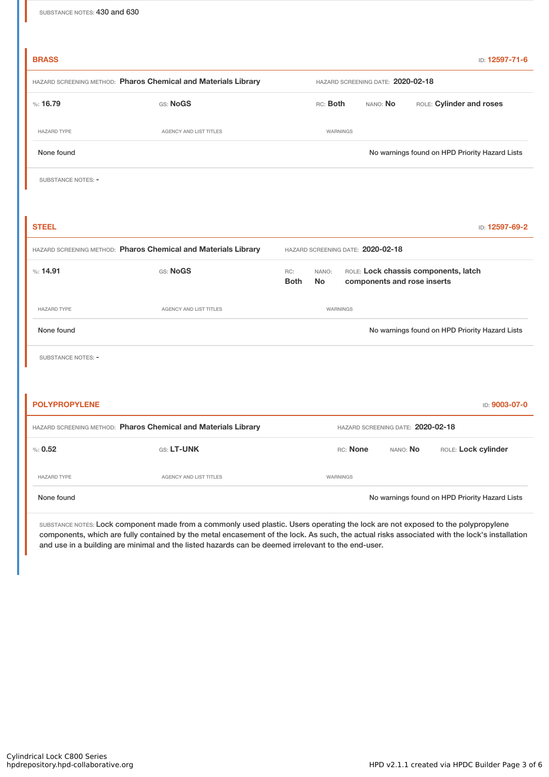| <b>BRASS</b>              |                                                                |                                                                                                                 |                                                  |                                   |          |  |  | ID: 12597-71-6      |  |
|---------------------------|----------------------------------------------------------------|-----------------------------------------------------------------------------------------------------------------|--------------------------------------------------|-----------------------------------|----------|--|--|---------------------|--|
|                           | HAZARD SCREENING METHOD: Pharos Chemical and Materials Library |                                                                                                                 | HAZARD SCREENING DATE: 2020-02-18                |                                   |          |  |  |                     |  |
| %:16.79                   | GS: NoGS                                                       |                                                                                                                 | ROLE: Cylinder and roses<br>RC: Both<br>NANO: No |                                   |          |  |  |                     |  |
| <b>HAZARD TYPE</b>        | <b>AGENCY AND LIST TITLES</b>                                  |                                                                                                                 | WARNINGS                                         |                                   |          |  |  |                     |  |
| None found                |                                                                |                                                                                                                 | No warnings found on HPD Priority Hazard Lists   |                                   |          |  |  |                     |  |
| SUBSTANCE NOTES: -        |                                                                |                                                                                                                 |                                                  |                                   |          |  |  |                     |  |
|                           |                                                                |                                                                                                                 |                                                  |                                   |          |  |  |                     |  |
| <b>STEEL</b>              |                                                                |                                                                                                                 |                                                  |                                   |          |  |  | ID: 12597-69-2      |  |
|                           | HAZARD SCREENING METHOD: Pharos Chemical and Materials Library | HAZARD SCREENING DATE: 2020-02-18                                                                               |                                                  |                                   |          |  |  |                     |  |
| %: 14.91                  | GS: NoGS                                                       | ROLE: Lock chassis components, latch<br>RC:<br>NANO:<br><b>Both</b><br><b>No</b><br>components and rose inserts |                                                  |                                   |          |  |  |                     |  |
| <b>HAZARD TYPE</b>        | AGENCY AND LIST TITLES                                         |                                                                                                                 | WARNINGS                                         |                                   |          |  |  |                     |  |
| None found                |                                                                | No warnings found on HPD Priority Hazard Lists                                                                  |                                                  |                                   |          |  |  |                     |  |
| <b>SUBSTANCE NOTES: -</b> |                                                                |                                                                                                                 |                                                  |                                   |          |  |  |                     |  |
|                           |                                                                |                                                                                                                 |                                                  |                                   |          |  |  |                     |  |
|                           |                                                                |                                                                                                                 |                                                  |                                   |          |  |  |                     |  |
| <b>POLYPROPYLENE</b>      |                                                                |                                                                                                                 |                                                  |                                   |          |  |  | ID: 9003-07-0       |  |
|                           | HAZARD SCREENING METHOD: Pharos Chemical and Materials Library |                                                                                                                 |                                                  | HAZARD SCREENING DATE: 2020-02-18 |          |  |  |                     |  |
| % 0.52                    | GS: LT-UNK                                                     |                                                                                                                 |                                                  | RC: None                          | NANO: No |  |  | ROLE: Lock cylinder |  |

None found Nowarnings found on HPD Priority Hazard Lists

SUBSTANCE NOTES: Lock component made from a commonly used plastic. Users operating the lock are not exposed to the polypropylene components, which are fully contained by the metal encasement of the lock. As such, the actual risks associated with the lock's installation and use in a building are minimal and the listed hazards can be deemed irrelevant to the end-user.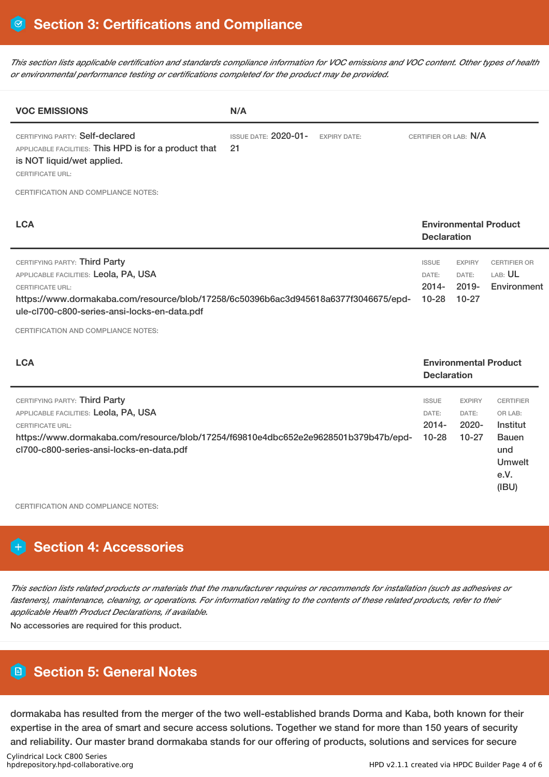This section lists applicable certification and standards compliance information for VOC emissions and VOC content. Other types of health *or environmental performance testing or certifications completed for the product may be provided.*

| <b>VOC EMISSIONS</b>                                                                                                                                                                                                                     | N/A                               |                     |                                                |                                                    |                                               |  |
|------------------------------------------------------------------------------------------------------------------------------------------------------------------------------------------------------------------------------------------|-----------------------------------|---------------------|------------------------------------------------|----------------------------------------------------|-----------------------------------------------|--|
| CERTIFYING PARTY: Self-declared<br>APPLICABLE FACILITIES: This HPD is for a product that<br>is NOT liquid/wet applied.<br><b>CERTIFICATE URL:</b>                                                                                        | <b>ISSUE DATE: 2020-01-</b><br>21 | <b>EXPIRY DATE:</b> | CERTIFIER OR LAB: N/A                          |                                                    |                                               |  |
| <b>CERTIFICATION AND COMPLIANCE NOTES:</b>                                                                                                                                                                                               |                                   |                     |                                                |                                                    |                                               |  |
| <b>LCA</b><br><b>Environmental Product</b><br><b>Declaration</b>                                                                                                                                                                         |                                   |                     |                                                |                                                    |                                               |  |
| CERTIFYING PARTY: Third Party<br>APPLICABLE FACILITIES: Leola, PA, USA<br><b>CERTIFICATE URL:</b><br>https://www.dormakaba.com/resource/blob/17258/6c50396b6ac3d945618a6377f3046675/epd-<br>ule-cl700-c800-series-ansi-locks-en-data.pdf |                                   |                     | <b>ISSUE</b><br>DATE:<br>$2014 -$<br>$10 - 28$ | <b>EXPIRY</b><br>DATE:<br>$2019 -$<br>$10 - 27$    | <b>CERTIFIER OR</b><br>LAB: UL<br>Environment |  |
| <b>CERTIFICATION AND COMPLIANCE NOTES:</b>                                                                                                                                                                                               |                                   |                     |                                                |                                                    |                                               |  |
| <b>LCA</b>                                                                                                                                                                                                                               |                                   |                     |                                                | <b>Environmental Product</b><br><b>Declaration</b> |                                               |  |
| CERTIFYING PARTY: Third Party<br>APPLICABLE FACILITIES: Leola, PA, USA<br><b>CERTIFICATE URL:</b>                                                                                                                                        |                                   |                     | <b>ISSUE</b><br>DATE:<br>$2014 -$              | <b>EXPIRY</b><br>DATE:<br>2020-                    | <b>CERTIFIER</b><br>OR LAB:<br>Institut       |  |

https://www.dormakaba.com/resource/blob/17254/f69810e4dbc652e2e9628501b379b47b/epdcl700-c800-series-ansi-locks-en-data.pdf 10-28 10-27 Bauen und Umwelt

CERTIFICATION AND COMPLIANCE NOTES:

# **Section 4: Accessories**

This section lists related products or materials that the manufacturer requires or recommends for installation (such as adhesives or fasteners), maintenance, cleaning, or operations. For information relating to the contents of these related products, refer to their *applicable Health Product Declarations, if available.*

No accessories are required for this product.

### **Section 5: General Notes**

dormakaba has resulted from the merger of the two well-established brands Dorma and Kaba, both known for their expertise in the area of smart and secure access solutions. Together we stand for more than 150 years of security and reliability. Our master brand dormakaba stands for our offering of products, solutions and services for secure

e.V. (IBU)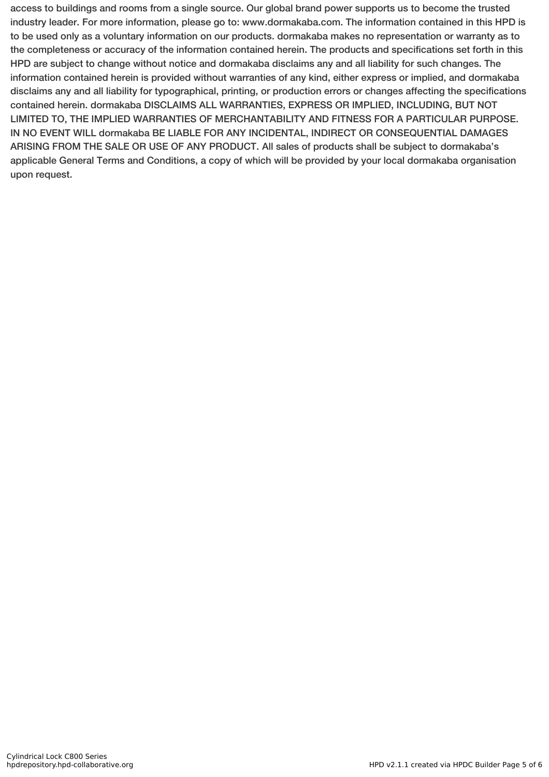access to buildings and rooms from a single source. Our global brand power supports us to become the trusted industry leader. For more information, please go to: www.dormakaba.com. The information contained in this HPD is to be used only as a voluntary information on our products. dormakaba makes no representation or warranty as to the completeness or accuracy of the information contained herein. The products and specifications set forth in this HPD are subject to change without notice and dormakaba disclaims any and all liability for such changes. The information contained herein is provided without warranties of any kind, either express or implied, and dormakaba disclaims any and all liability for typographical, printing, or production errors or changes affecting the specifications contained herein. dormakaba DISCLAIMS ALL WARRANTIES, EXPRESS OR IMPLIED, INCLUDING, BUT NOT LIMITED TO, THE IMPLIED WARRANTIES OF MERCHANTABILITY AND FITNESS FOR A PARTICULAR PURPOSE. IN NO EVENT WILL dormakaba BE LIABLE FOR ANY INCIDENTAL, INDIRECT OR CONSEQUENTIAL DAMAGES ARISING FROM THE SALE OR USE OF ANY PRODUCT. All sales of products shall be subject to dormakaba's applicable General Terms and Conditions, a copy of which will be provided by your local dormakaba organisation upon request.